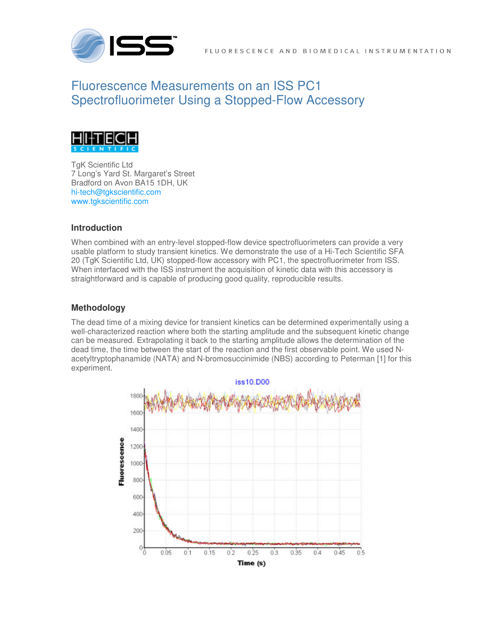

# Fluorescence Measurements on an ISS PC1 Spectrofluorimeter Using a Stopped-Flow Accessory



TgK Scientific Ltd 7 Long's Yard St. Margaret's Street Bradford on Avon BA15 1DH, UK hi-tech@tgkscientific.com www.tgkscientific.com

## **Introduction**

When combined with an entry-level stopped-flow device spectrofluorimeters can provide a very usable platform to study transient kinetics. We demonstrate the use of a Hi-Tech Scientific SFA 20 (TgK Scientific Ltd, UK) stopped-flow accessory with PC1, the spectrofluorimeter from ISS. When interfaced with the ISS instrument the acquisition of kinetic data with this accessory is straightforward and is capable of producing good quality, reproducible results.

## **Methodology**

The dead time of a mixing device for transient kinetics can be determined experimentally using a well-characterized reaction where both the starting amplitude and the subsequent kinetic change can be measured. Extrapolating it back to the starting amplitude allows the determination of the dead time, the time between the start of the reaction and the first observable point. We used Nacetyltryptophanamide (NATA) and N-bromosuccinimide (NBS) according to Peterman [1] for this experiment.

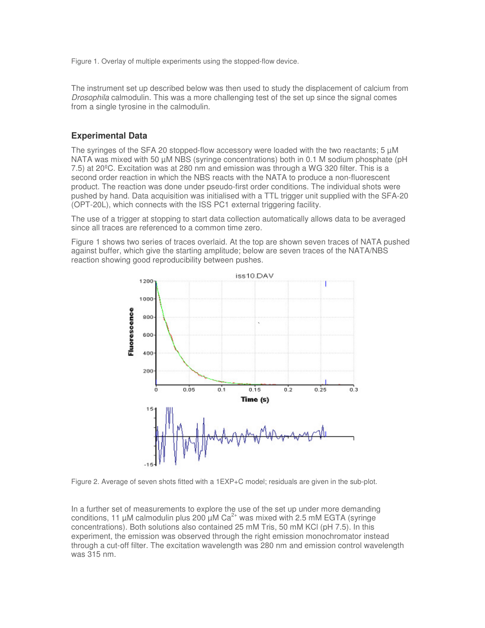Figure 1. Overlay of multiple experiments using the stopped-flow device.

The instrument set up described below was then used to study the displacement of calcium from Drosophila calmodulin. This was a more challenging test of the set up since the signal comes from a single tyrosine in the calmodulin.

#### **Experimental Data**

The syringes of the SFA 20 stopped-flow accessory were loaded with the two reactants;  $5 \mu M$ NATA was mixed with 50 µM NBS (syringe concentrations) both in 0.1 M sodium phosphate (pH 7.5) at 20ºC. Excitation was at 280 nm and emission was through a WG 320 filter. This is a second order reaction in which the NBS reacts with the NATA to produce a non-fluorescent product. The reaction was done under pseudo-first order conditions. The individual shots were pushed by hand. Data acquisition was initialised with a TTL trigger unit supplied with the SFA-20 (OPT-20L), which connects with the ISS PC1 external triggering facility.

The use of a trigger at stopping to start data collection automatically allows data to be averaged since all traces are referenced to a common time zero.

Figure 1 shows two series of traces overlaid. At the top are shown seven traces of NATA pushed against buffer, which give the starting amplitude; below are seven traces of the NATA/NBS reaction showing good reproducibility between pushes.



Figure 2. Average of seven shots fitted with a 1EXP+C model; residuals are given in the sub-plot.

In a further set of measurements to explore the use of the set up under more demanding conditions, 11  $\mu$ M calmodulin plus 200  $\mu$ M Ca<sup>2+</sup> was mixed with 2.5 mM EGTA (syringe concentrations). Both solutions also contained 25 mM Tris, 50 mM KCl (pH 7.5). In this experiment, the emission was observed through the right emission monochromator instead through a cut-off filter. The excitation wavelength was 280 nm and emission control wavelength was 315 nm.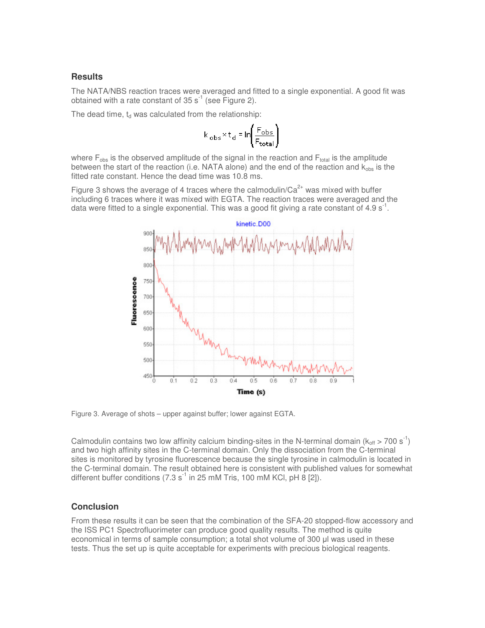#### **Results**

The NATA/NBS reaction traces were averaged and fitted to a single exponential. A good fit was obtained with a rate constant of  $35 s<sup>-1</sup>$  (see Figure 2).

The dead time,  $t_d$  was calculated from the relationship:

$$
k_{obs} \times t_d = \ln \left( \frac{F_{obs}}{F_{total}} \right)
$$

where  $F_{obs}$  is the observed amplitude of the signal in the reaction and  $F_{total}$  is the amplitude between the start of the reaction (i.e. NATA alone) and the end of the reaction and  $k_{obs}$  is the fitted rate constant. Hence the dead time was 10.8 ms.

Figure 3 shows the average of 4 traces where the calmodulin/ $Ca^{2+}$  was mixed with buffer including 6 traces where it was mixed with EGTA. The reaction traces were averaged and the data were fitted to a single exponential. This was a good fit giving a rate constant of 4.9  $s^{-1}$ .



Figure 3. Average of shots – upper against buffer; lower against EGTA.

Calmodulin contains two low affinity calcium binding-sites in the N-terminal domain ( $k_{off} > 700 s^{-1}$ ) and two high affinity sites in the C-terminal domain. Only the dissociation from the C-terminal sites is monitored by tyrosine fluorescence because the single tyrosine in calmodulin is located in the C-terminal domain. The result obtained here is consistent with published values for somewhat different buffer conditions  $(7.3 \text{ s}^{-1} \text{ in } 25 \text{ mM Tris}, 100 \text{ mM KCl}, \text{ pH } 8 [2])$ .

#### **Conclusion**

From these results it can be seen that the combination of the SFA-20 stopped-flow accessory and the ISS PC1 Spectrofluorimeter can produce good quality results. The method is quite economical in terms of sample consumption; a total shot volume of 300 µl was used in these tests. Thus the set up is quite acceptable for experiments with precious biological reagents.